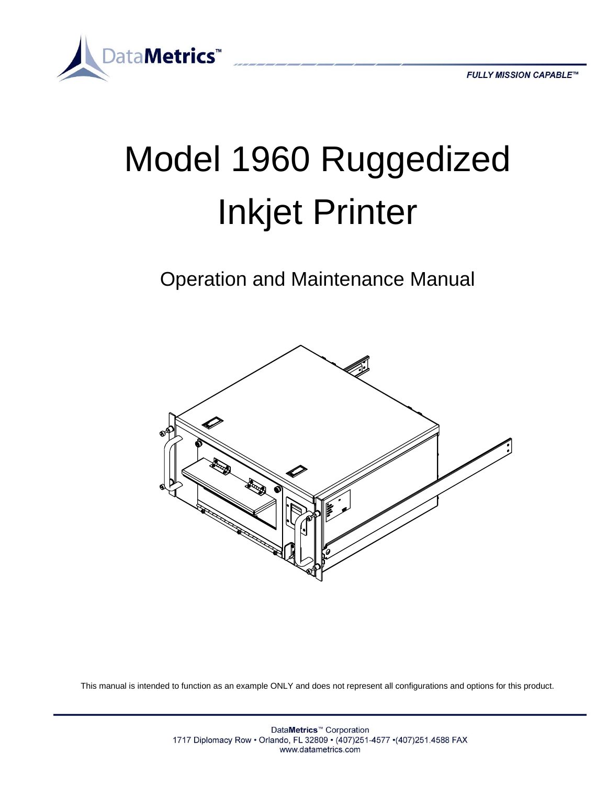

# Model 1960 Ruggedized Inkjet Printer

Operation and Maintenance Manual



This manual is intended to function as an example ONLY and does not represent all configurations and options for this product.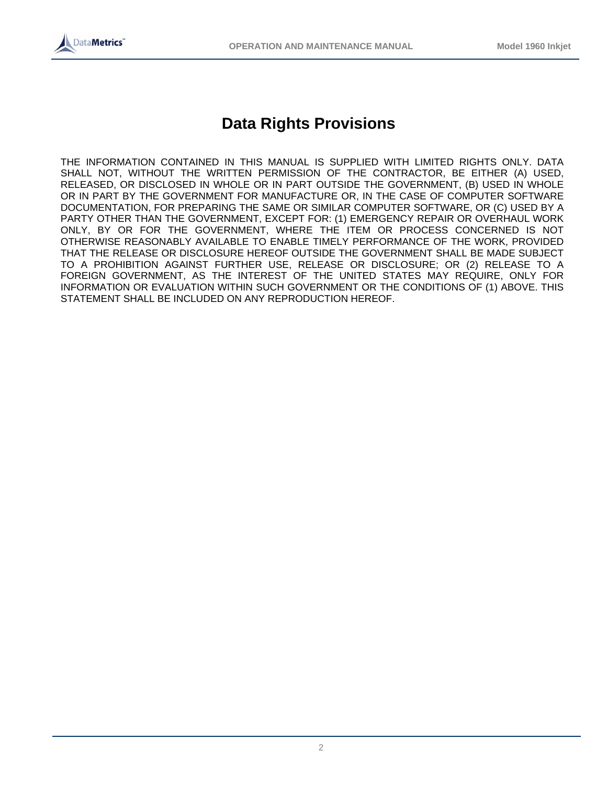

# **Data Rights Provisions**

THE INFORMATION CONTAINED IN THIS MANUAL IS SUPPLIED WITH LIMITED RIGHTS ONLY. DATA SHALL NOT, WITHOUT THE WRITTEN PERMISSION OF THE CONTRACTOR, BE EITHER (A) USED, RELEASED, OR DISCLOSED IN WHOLE OR IN PART OUTSIDE THE GOVERNMENT, (B) USED IN WHOLE OR IN PART BY THE GOVERNMENT FOR MANUFACTURE OR, IN THE CASE OF COMPUTER SOFTWARE DOCUMENTATION, FOR PREPARING THE SAME OR SIMILAR COMPUTER SOFTWARE, OR (C) USED BY A PARTY OTHER THAN THE GOVERNMENT, EXCEPT FOR: (1) EMERGENCY REPAIR OR OVERHAUL WORK ONLY, BY OR FOR THE GOVERNMENT, WHERE THE ITEM OR PROCESS CONCERNED IS NOT OTHERWISE REASONABLY AVAILABLE TO ENABLE TIMELY PERFORMANCE OF THE WORK, PROVIDED THAT THE RELEASE OR DISCLOSURE HEREOF OUTSIDE THE GOVERNMENT SHALL BE MADE SUBJECT TO A PROHIBITION AGAINST FURTHER USE, RELEASE OR DISCLOSURE; OR (2) RELEASE TO A FOREIGN GOVERNMENT, AS THE INTEREST OF THE UNITED STATES MAY REQUIRE, ONLY FOR INFORMATION OR EVALUATION WITHIN SUCH GOVERNMENT OR THE CONDITIONS OF (1) ABOVE. THIS STATEMENT SHALL BE INCLUDED ON ANY REPRODUCTION HEREOF.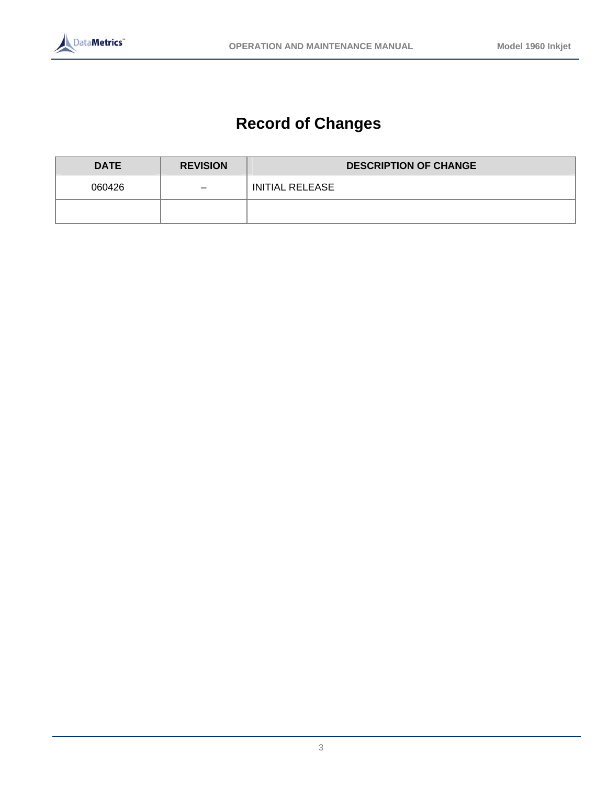

# **Record of Changes**

| <b>DATE</b> | <b>REVISION</b>          | <b>DESCRIPTION OF CHANGE</b> |  |
|-------------|--------------------------|------------------------------|--|
| 060426      | $\overline{\phantom{m}}$ | INITIAL RELEASE              |  |
|             |                          |                              |  |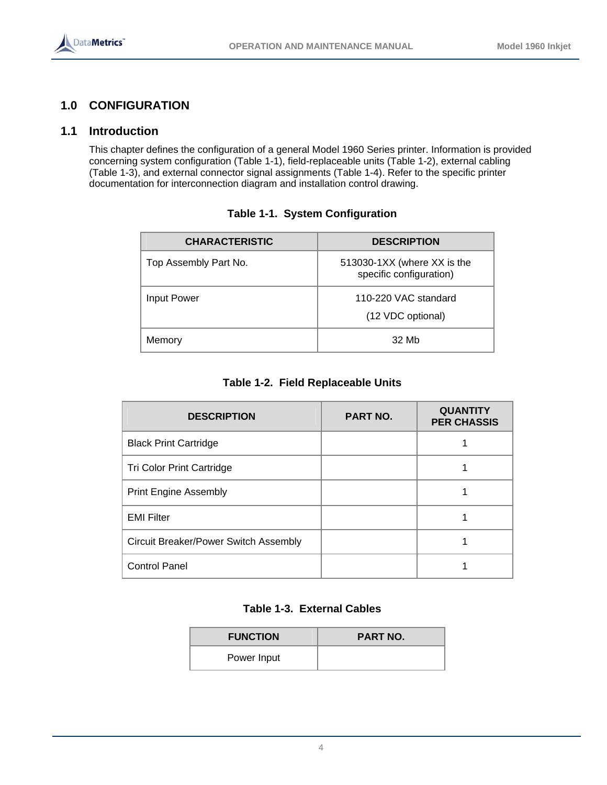

# **1.0 CONFIGURATION**

# **1.1 Introduction**

This chapter defines the configuration of a general Model 1960 Series printer. Information is provided concerning system configuration (Table 1-1), field-replaceable units (Table 1-2), external cabling (Table 1-3), and external connector signal assignments (Table 1-4). Refer to the specific printer documentation for interconnection diagram and installation control drawing.

| <b>CHARACTERISTIC</b> | <b>DESCRIPTION</b>                                     |
|-----------------------|--------------------------------------------------------|
| Top Assembly Part No. | 513030-1XX (where XX is the<br>specific configuration) |
| Input Power           | 110-220 VAC standard                                   |
|                       | (12 VDC optional)                                      |
| Memory                | 32 Mb                                                  |

#### **Table 1-1. System Configuration**

#### **Table 1-2. Field Replaceable Units**

| <b>DESCRIPTION</b>                    | <b>PART NO.</b> | <b>QUANTITY</b><br><b>PER CHASSIS</b> |
|---------------------------------------|-----------------|---------------------------------------|
| <b>Black Print Cartridge</b>          |                 |                                       |
| Tri Color Print Cartridge             |                 |                                       |
| <b>Print Engine Assembly</b>          |                 |                                       |
| <b>EMI Filter</b>                     |                 |                                       |
| Circuit Breaker/Power Switch Assembly |                 |                                       |
| <b>Control Panel</b>                  |                 |                                       |

# **Table 1-3. External Cables**

| <b>FUNCTION</b> | <b>PART NO.</b> |
|-----------------|-----------------|
| Power Input     |                 |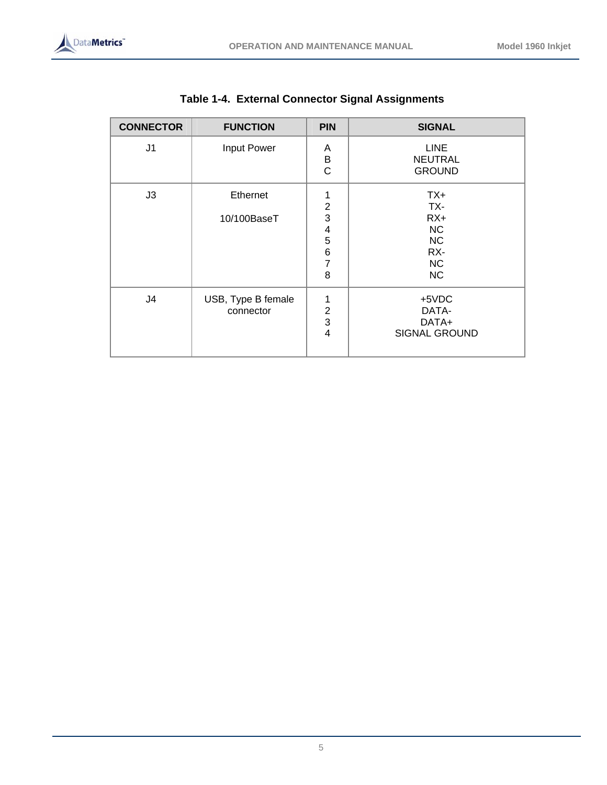

| <b>CONNECTOR</b> | <b>FUNCTION</b>                 | <b>PIN</b>                                                                                | <b>SIGNAL</b>                                                                    |
|------------------|---------------------------------|-------------------------------------------------------------------------------------------|----------------------------------------------------------------------------------|
| J1               | Input Power                     | Α<br>B<br>$\mathsf{C}$                                                                    | <b>LINE</b><br><b>NEUTRAL</b><br><b>GROUND</b>                                   |
| J3               | Ethernet<br>10/100BaseT         | 1<br>$\overline{2}$<br>3<br>$\overline{\mathcal{A}}$<br>5<br>$\,6$<br>$\overline{7}$<br>8 | $TX+$<br>TX-<br>$RX+$<br><b>NC</b><br><b>NC</b><br>RX-<br><b>NC</b><br><b>NC</b> |
| J4               | USB, Type B female<br>connector | 1<br>$\overline{2}$<br>3<br>$\overline{4}$                                                | +5VDC<br>DATA-<br>DATA+<br><b>SIGNAL GROUND</b>                                  |

# **Table 1-4. External Connector Signal Assignments**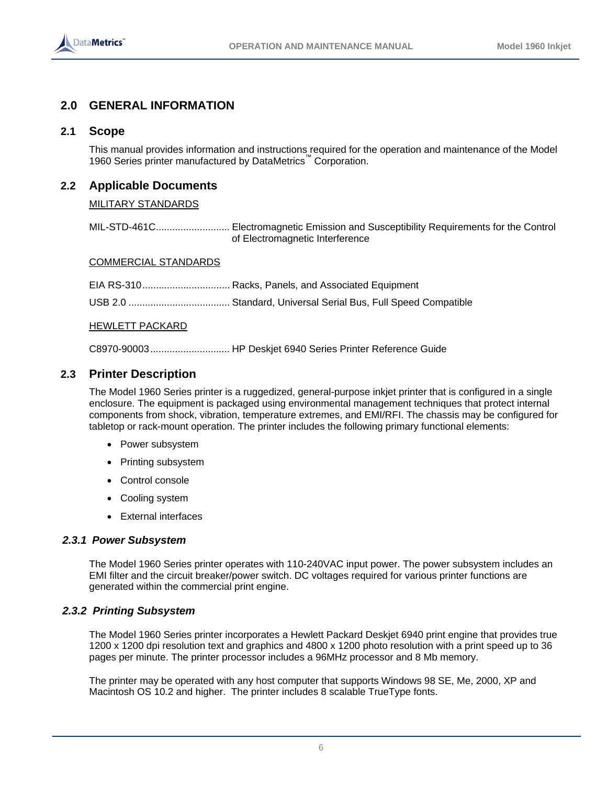

# **2.0 GENERAL INFORMATION**

#### **2.1 Scope**

This manual provides information and instructions required for the operation and maintenance of the Model 1960 Series printer manufactured by DataMetrics<sup>™</sup> Corporation.

# **2.2 Applicable Documents**

#### MILITARY STANDARDS

MIL-STD-461C........................... Electromagnetic Emission and Susceptibility Requirements for the Control of Electromagnetic Interference

#### COMMERCIAL STANDARDS

|                 | EIA RS-310 Racks, Panels, and Associated Equipment                          |
|-----------------|-----------------------------------------------------------------------------|
|                 | USB 2.0 ………………………………… Standard, Universal Serial Bus, Full Speed Compatible |
| HEWLETT PACKARD |                                                                             |

C8970-90003............................. HP Deskjet 6940 Series Printer Reference Guide

#### **2.3 Printer Description**

The Model 1960 Series printer is a ruggedized, general-purpose inkjet printer that is configured in a single enclosure. The equipment is packaged using environmental management techniques that protect internal components from shock, vibration, temperature extremes, and EMI/RFI. The chassis may be configured for tabletop or rack-mount operation. The printer includes the following primary functional elements:

- Power subsystem
- Printing subsystem
- Control console
- Cooling system
- External interfaces

#### *2.3.1 Power Subsystem*

The Model 1960 Series printer operates with 110-240VAC input power. The power subsystem includes an EMI filter and the circuit breaker/power switch. DC voltages required for various printer functions are generated within the commercial print engine.

#### *2.3.2 Printing Subsystem*

The Model 1960 Series printer incorporates a Hewlett Packard Deskjet 6940 print engine that provides true 1200 x 1200 dpi resolution text and graphics and 4800 x 1200 photo resolution with a print speed up to 36 pages per minute. The printer processor includes a 96MHz processor and 8 Mb memory.

The printer may be operated with any host computer that supports Windows 98 SE, Me, 2000, XP and Macintosh OS 10.2 and higher. The printer includes 8 scalable TrueType fonts.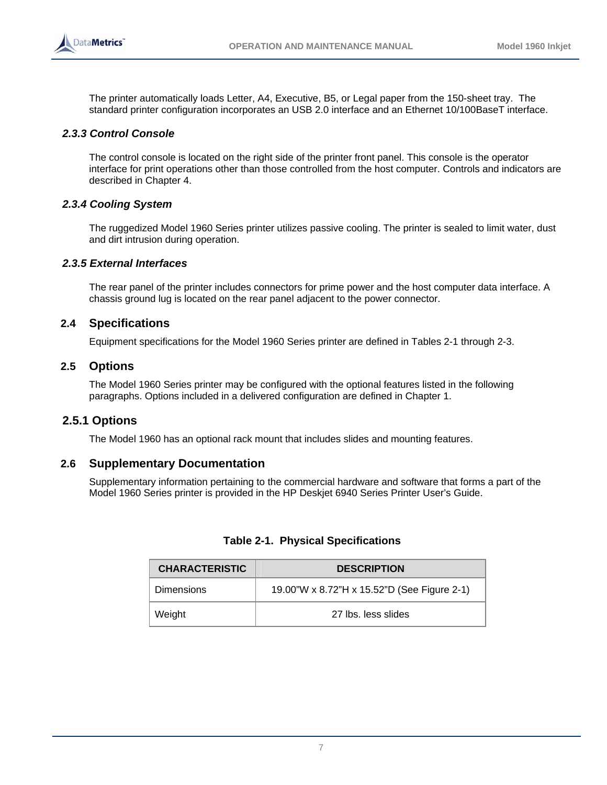

The printer automatically loads Letter, A4, Executive, B5, or Legal paper from the 150-sheet tray. The standard printer configuration incorporates an USB 2.0 interface and an Ethernet 10/100BaseT interface.

#### *2.3.3 Control Console*

The control console is located on the right side of the printer front panel. This console is the operator interface for print operations other than those controlled from the host computer. Controls and indicators are described in Chapter 4.

#### *2.3.4 Cooling System*

The ruggedized Model 1960 Series printer utilizes passive cooling. The printer is sealed to limit water, dust and dirt intrusion during operation.

#### *2.3.5 External Interfaces*

The rear panel of the printer includes connectors for prime power and the host computer data interface. A chassis ground lug is located on the rear panel adjacent to the power connector.

#### **2.4 Specifications**

Equipment specifications for the Model 1960 Series printer are defined in Tables 2-1 through 2-3.

#### **2.5 Options**

The Model 1960 Series printer may be configured with the optional features listed in the following paragraphs. Options included in a delivered configuration are defined in Chapter 1.

#### **2.5.1 Options**

The Model 1960 has an optional rack mount that includes slides and mounting features.

#### **2.6 Supplementary Documentation**

Supplementary information pertaining to the commercial hardware and software that forms a part of the Model 1960 Series printer is provided in the HP Deskjet 6940 Series Printer User's Guide.

| <b>CHARACTERISTIC</b>                                            | <b>DESCRIPTION</b>  |  |
|------------------------------------------------------------------|---------------------|--|
| 19.00"W x 8.72"H x 15.52"D (See Figure 2-1)<br><b>Dimensions</b> |                     |  |
| Weight                                                           | 27 lbs. less slides |  |

#### **Table 2-1. Physical Specifications**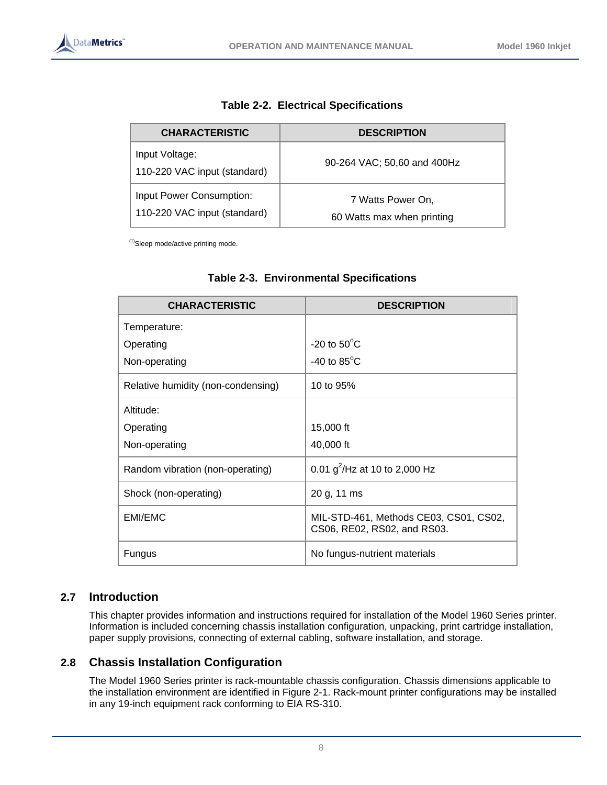

| <b>CHARACTERISTIC</b>                                    | <b>DESCRIPTION</b>                              |  |
|----------------------------------------------------------|-------------------------------------------------|--|
| Input Voltage:<br>110-220 VAC input (standard)           | 90-264 VAC; 50,60 and 400Hz                     |  |
| Input Power Consumption:<br>110-220 VAC input (standard) | 7 Watts Power On,<br>60 Watts max when printing |  |

(1)Sleep mode/active printing mode.

| <b>CHARACTERISTIC</b>              | <b>DESCRIPTION</b>                                                    |
|------------------------------------|-----------------------------------------------------------------------|
| Temperature:                       |                                                                       |
| Operating                          | $-20$ to $50^{\circ}$ C                                               |
| Non-operating                      | -40 to $85^{\circ}$ C                                                 |
| Relative humidity (non-condensing) | 10 to 95%                                                             |
| Altitude:                          |                                                                       |
| Operating                          | 15,000 ft                                                             |
| Non-operating                      | 40,000 ft                                                             |
| Random vibration (non-operating)   | 0.01 $g^2$ /Hz at 10 to 2,000 Hz                                      |
| Shock (non-operating)              | 20 g, 11 ms                                                           |
| EMI/EMC                            | MIL-STD-461, Methods CE03, CS01, CS02,<br>CS06, RE02, RS02, and RS03. |
| Fungus                             | No fungus-nutrient materials                                          |

# **Table 2-3. Environmental Specifications**

# **2.7 Introduction**

This chapter provides information and instructions required for installation of the Model 1960 Series printer. Information is included concerning chassis installation configuration, unpacking, print cartridge installation, paper supply provisions, connecting of external cabling, software installation, and storage.

# **2.8 Chassis Installation Configuration**

The Model 1960 Series printer is rack-mountable chassis configuration. Chassis dimensions applicable to the installation environment are identified in Figure 2-1. Rack-mount printer configurations may be installed in any 19-inch equipment rack conforming to EIA RS-310.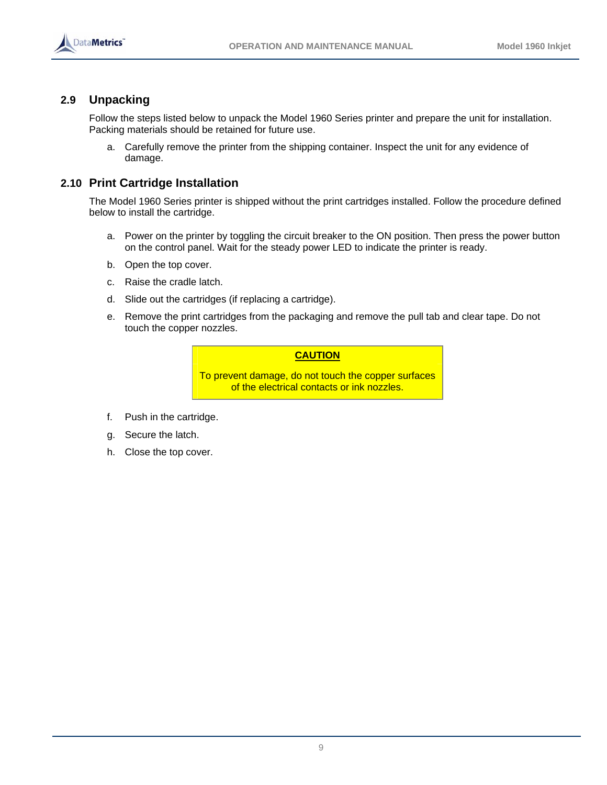

# **2.9 Unpacking**

Follow the steps listed below to unpack the Model 1960 Series printer and prepare the unit for installation. Packing materials should be retained for future use.

a. Carefully remove the printer from the shipping container. Inspect the unit for any evidence of damage.

# **2.10 Print Cartridge Installation**

The Model 1960 Series printer is shipped without the print cartridges installed. Follow the procedure defined below to install the cartridge.

- a. Power on the printer by toggling the circuit breaker to the ON position. Then press the power button on the control panel. Wait for the steady power LED to indicate the printer is ready.
- b. Open the top cover.
- c. Raise the cradle latch.
- d. Slide out the cartridges (if replacing a cartridge).
- e. Remove the print cartridges from the packaging and remove the pull tab and clear tape. Do not touch the copper nozzles.

#### **CAUTION**

To prevent damage, do not touch the copper surfaces of the electrical contacts or ink nozzles.

- f. Push in the cartridge.
- g. Secure the latch.
- h. Close the top cover.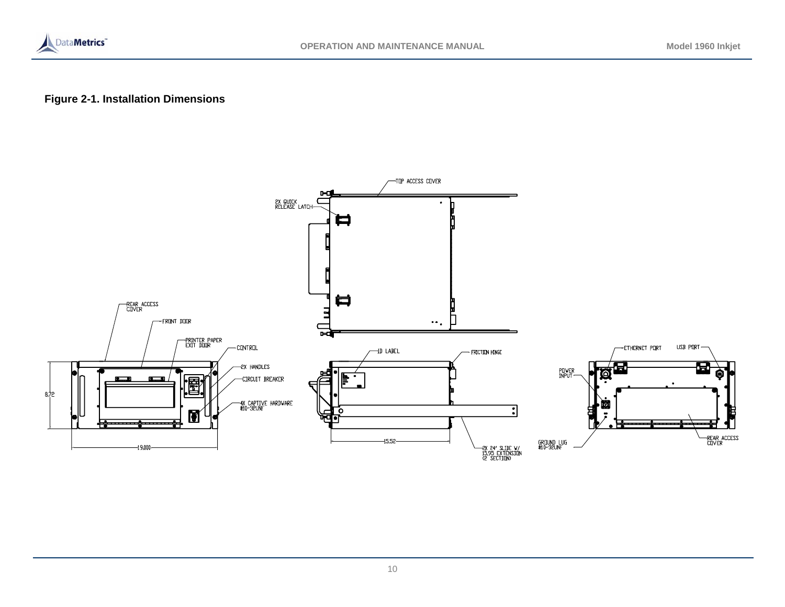

# **Figure 2-1. Installation Dimensions**

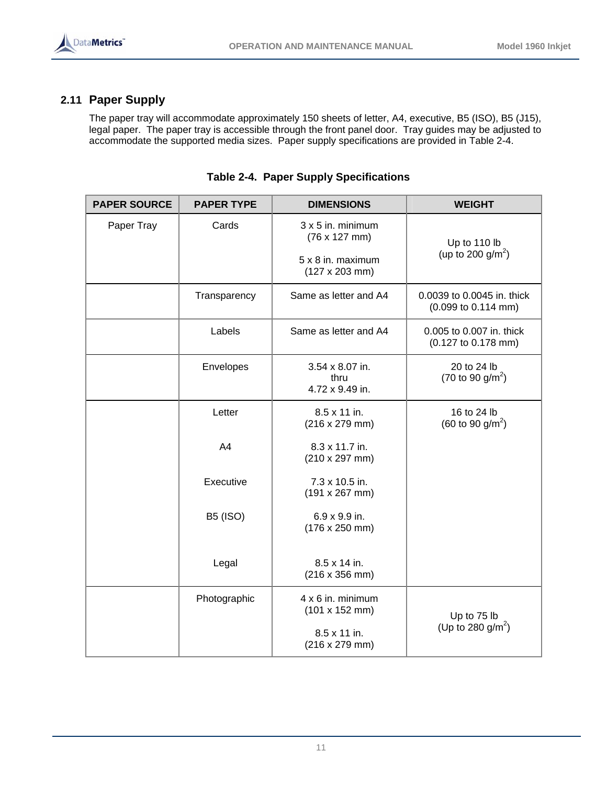

# **2.11 Paper Supply**

The paper tray will accommodate approximately 150 sheets of letter, A4, executive, B5 (ISO), B5 (J15), legal paper. The paper tray is accessible through the front panel door. Tray guides may be adjusted to accommodate the supported media sizes. Paper supply specifications are provided in Table 2-4.

| <b>PAPER SOURCE</b> | <b>PAPER TYPE</b> | <b>DIMENSIONS</b>                                  | <b>WEIGHT</b>                                      |
|---------------------|-------------------|----------------------------------------------------|----------------------------------------------------|
| Paper Tray          | Cards             | $3x5$ in. minimum<br>$(76 \times 127 \text{ mm})$  | Up to 110 lb                                       |
|                     |                   | 5 x 8 in. maximum<br>$(127 \times 203 \text{ mm})$ | (up to 200 g/m <sup>2</sup> )                      |
|                     | Transparency      | Same as letter and A4                              | 0.0039 to 0.0045 in. thick<br>(0.099 to 0.114 mm)  |
|                     | Labels            | Same as letter and A4                              | 0.005 to 0.007 in. thick<br>(0.127 to 0.178 mm)    |
|                     | Envelopes         | 3.54 x 8.07 in.<br>thru<br>4.72 x 9.49 in.         | 20 to 24 lb<br>$(70 \text{ to } 90 \text{ g/m}^2)$ |
|                     | Letter            | 8.5 x 11 in.<br>(216 x 279 mm)                     | 16 to 24 lb<br>(60 to 90 $g/m^2$ )                 |
|                     | A4                | 8.3 x 11.7 in.<br>$(210 \times 297 \text{ mm})$    |                                                    |
|                     | Executive         | 7.3 x 10.5 in.<br>$(191 \times 267 \text{ mm})$    |                                                    |
|                     | <b>B5 (ISO)</b>   | 6.9 x 9.9 in.<br>$(176 \times 250 \text{ mm})$     |                                                    |
|                     | Legal             | 8.5 x 14 in.<br>$(216 \times 356 \text{ mm})$      |                                                    |
|                     | Photographic      | 4 x 6 in. minimum<br>$(101 \times 152 \text{ mm})$ | Up to 75 lb                                        |
|                     |                   | 8.5 x 11 in.<br>(216 x 279 mm)                     | (Up to 280 $g/m^2$ )                               |

|  |  |  | Table 2-4. Paper Supply Specifications |
|--|--|--|----------------------------------------|
|--|--|--|----------------------------------------|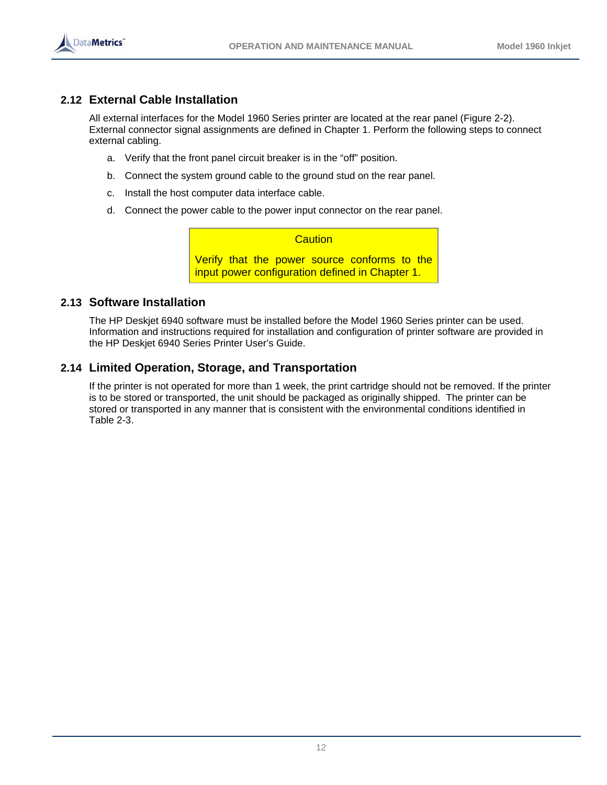

# **2.12 External Cable Installation**

All external interfaces for the Model 1960 Series printer are located at the rear panel (Figure 2-2). External connector signal assignments are defined in Chapter 1. Perform the following steps to connect external cabling.

- a. Verify that the front panel circuit breaker is in the "off" position.
- b. Connect the system ground cable to the ground stud on the rear panel.
- c. Install the host computer data interface cable.
- d. Connect the power cable to the power input connector on the rear panel.

**Caution** Verify that the power source conforms to the input power configuration defined in Chapter 1.

# **2.13 Software Installation**

The HP Deskjet 6940 software must be installed before the Model 1960 Series printer can be used. Information and instructions required for installation and configuration of printer software are provided in the HP Deskjet 6940 Series Printer User's Guide.

# **2.14 Limited Operation, Storage, and Transportation**

If the printer is not operated for more than 1 week, the print cartridge should not be removed. If the printer is to be stored or transported, the unit should be packaged as originally shipped. The printer can be stored or transported in any manner that is consistent with the environmental conditions identified in Table 2-3.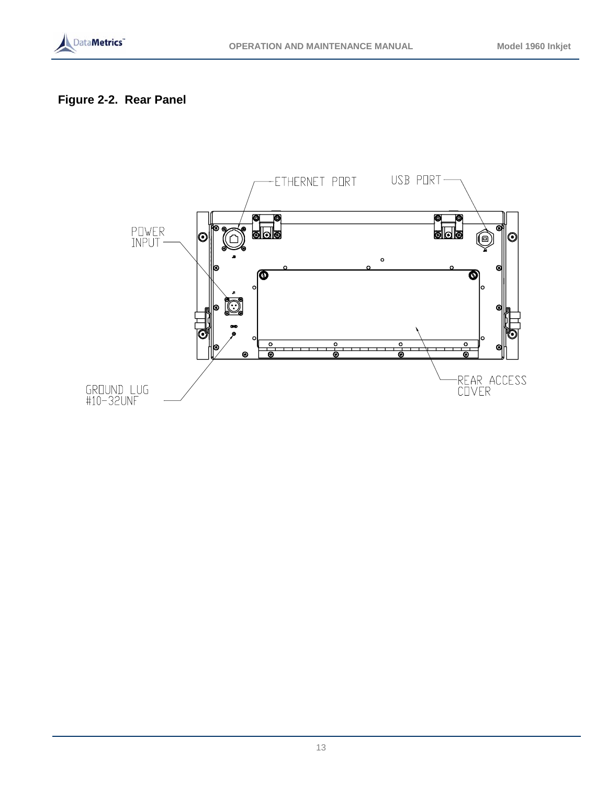

# **Figure 2-2. Rear Panel**

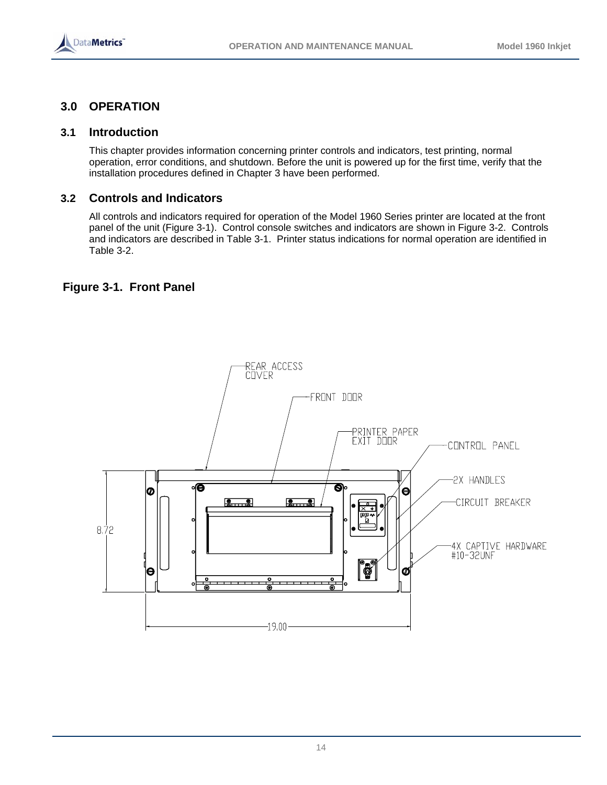

# **3.0 OPERATION**

### **3.1 Introduction**

This chapter provides information concerning printer controls and indicators, test printing, normal operation, error conditions, and shutdown. Before the unit is powered up for the first time, verify that the installation procedures defined in Chapter 3 have been performed.

# **3.2 Controls and Indicators**

All controls and indicators required for operation of the Model 1960 Series printer are located at the front panel of the unit (Figure 3-1). Control console switches and indicators are shown in Figure 3-2. Controls and indicators are described in Table 3-1. Printer status indications for normal operation are identified in Table 3-2.

# **Figure 3-1. Front Panel**

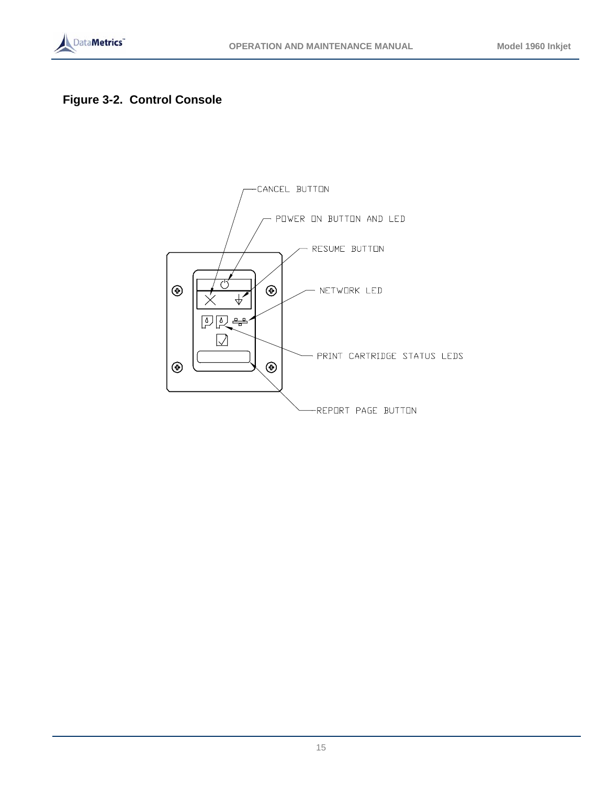

# **Figure 3-2. Control Console**

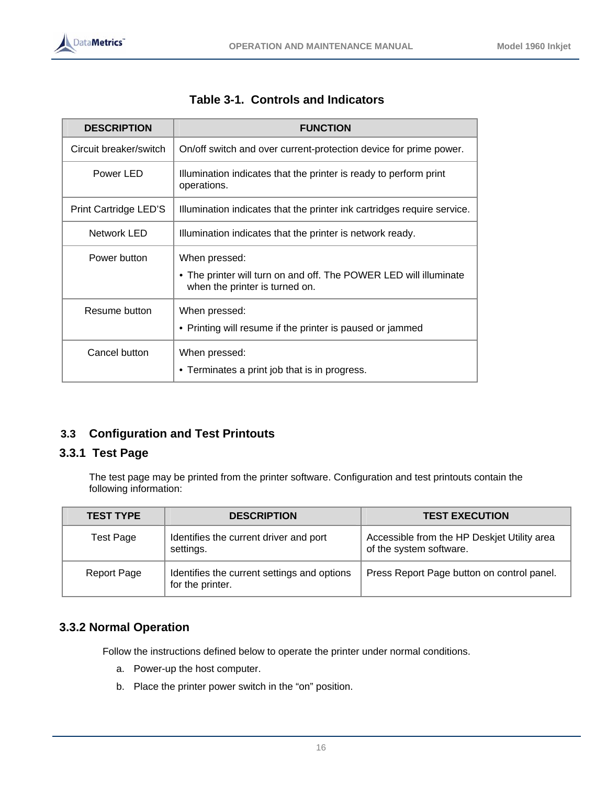| <b>DESCRIPTION</b>                                                              | <b>FUNCTION</b>                                                                                                      |  |  |
|---------------------------------------------------------------------------------|----------------------------------------------------------------------------------------------------------------------|--|--|
| Circuit breaker/switch                                                          | On/off switch and over current-protection device for prime power.                                                    |  |  |
| Power LED                                                                       | Illumination indicates that the printer is ready to perform print<br>operations.                                     |  |  |
| Print Cartridge LED'S                                                           | Illumination indicates that the printer ink cartridges require service.                                              |  |  |
| Network LED                                                                     | Illumination indicates that the printer is network ready.                                                            |  |  |
| Power button                                                                    | When pressed:<br>• The printer will turn on and off. The POWER LED will illuminate<br>when the printer is turned on. |  |  |
| Resume button                                                                   | When pressed:<br>• Printing will resume if the printer is paused or jammed                                           |  |  |
| Cancel button<br>When pressed:<br>• Terminates a print job that is in progress. |                                                                                                                      |  |  |

|  | Table 3-1. Controls and Indicators |  |
|--|------------------------------------|--|
|--|------------------------------------|--|

# **3.3 Configuration and Test Printouts**

# **3.3.1 Test Page**

The test page may be printed from the printer software. Configuration and test printouts contain the following information:

| <b>TEST TYPE</b>   | <b>DESCRIPTION</b>                                              | <b>TEST EXECUTION</b>                                                  |
|--------------------|-----------------------------------------------------------------|------------------------------------------------------------------------|
| Test Page          | Identifies the current driver and port<br>settings.             | Accessible from the HP Deskjet Utility area<br>of the system software. |
| <b>Report Page</b> | Identifies the current settings and options<br>for the printer. | Press Report Page button on control panel.                             |

# **3.3.2 Normal Operation**

Follow the instructions defined below to operate the printer under normal conditions.

- a. Power-up the host computer.
- b. Place the printer power switch in the "on" position.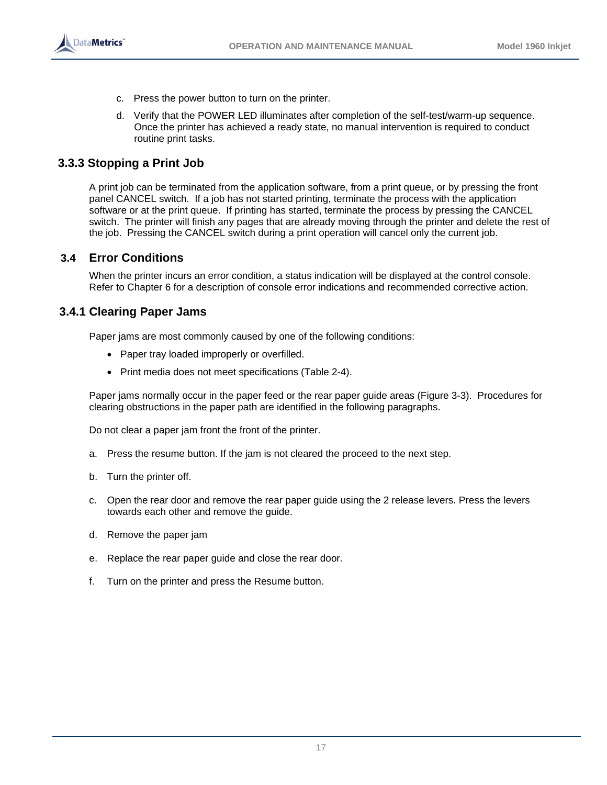

- c. Press the power button to turn on the printer.
- d. Verify that the POWER LED illuminates after completion of the self-test/warm-up sequence. Once the printer has achieved a ready state, no manual intervention is required to conduct routine print tasks.

# **3.3.3 Stopping a Print Job**

A print job can be terminated from the application software, from a print queue, or by pressing the front panel CANCEL switch. If a job has not started printing, terminate the process with the application software or at the print queue. If printing has started, terminate the process by pressing the CANCEL switch. The printer will finish any pages that are already moving through the printer and delete the rest of the job. Pressing the CANCEL switch during a print operation will cancel only the current job.

# **3.4 Error Conditions**

When the printer incurs an error condition, a status indication will be displayed at the control console. Refer to Chapter 6 for a description of console error indications and recommended corrective action.

# **3.4.1 Clearing Paper Jams**

Paper jams are most commonly caused by one of the following conditions:

- Paper tray loaded improperly or overfilled.
- Print media does not meet specifications (Table 2-4).

Paper jams normally occur in the paper feed or the rear paper guide areas (Figure 3-3). Procedures for clearing obstructions in the paper path are identified in the following paragraphs.

Do not clear a paper jam front the front of the printer.

- a. Press the resume button. If the jam is not cleared the proceed to the next step.
- b. Turn the printer off.
- c. Open the rear door and remove the rear paper guide using the 2 release levers. Press the levers towards each other and remove the guide.
- d. Remove the paper jam
- e. Replace the rear paper guide and close the rear door.
- f. Turn on the printer and press the Resume button.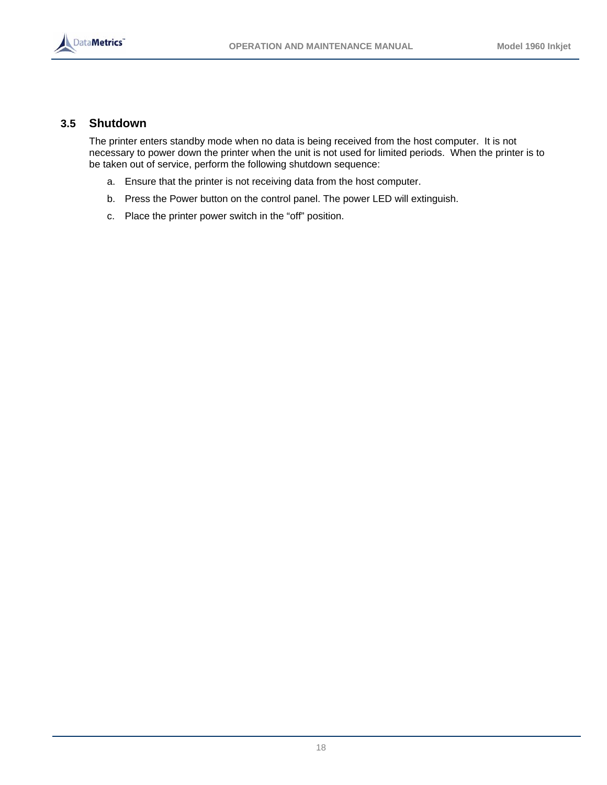

#### **3.5 Shutdown**

The printer enters standby mode when no data is being received from the host computer. It is not necessary to power down the printer when the unit is not used for limited periods. When the printer is to be taken out of service, perform the following shutdown sequence:

- a. Ensure that the printer is not receiving data from the host computer.
- b. Press the Power button on the control panel. The power LED will extinguish.
- c. Place the printer power switch in the "off" position.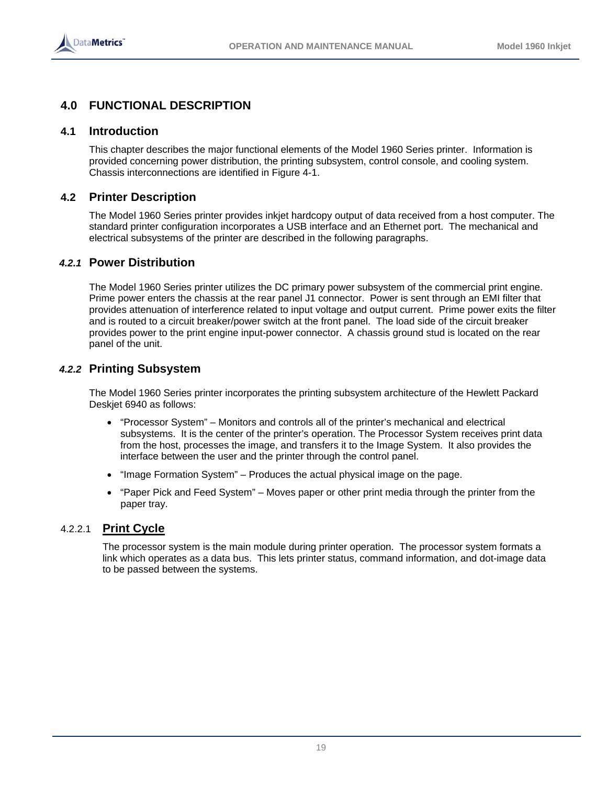

# **4.0 FUNCTIONAL DESCRIPTION**

#### **4.1 Introduction**

This chapter describes the major functional elements of the Model 1960 Series printer. Information is provided concerning power distribution, the printing subsystem, control console, and cooling system. Chassis interconnections are identified in Figure 4-1.

#### **4.2 Printer Description**

The Model 1960 Series printer provides inkjet hardcopy output of data received from a host computer. The standard printer configuration incorporates a USB interface and an Ethernet port. The mechanical and electrical subsystems of the printer are described in the following paragraphs.

#### *4.2.1* **Power Distribution**

The Model 1960 Series printer utilizes the DC primary power subsystem of the commercial print engine. Prime power enters the chassis at the rear panel J1 connector. Power is sent through an EMI filter that provides attenuation of interference related to input voltage and output current. Prime power exits the filter and is routed to a circuit breaker/power switch at the front panel. The load side of the circuit breaker provides power to the print engine input-power connector. A chassis ground stud is located on the rear panel of the unit.

# *4.2.2* **Printing Subsystem**

The Model 1960 Series printer incorporates the printing subsystem architecture of the Hewlett Packard Deskjet 6940 as follows:

- "Processor System" Monitors and controls all of the printer's mechanical and electrical subsystems. It is the center of the printer's operation. The Processor System receives print data from the host, processes the image, and transfers it to the Image System. It also provides the interface between the user and the printer through the control panel.
- "Image Formation System" Produces the actual physical image on the page.
- "Paper Pick and Feed System" Moves paper or other print media through the printer from the paper tray.

#### 4.2.2.1 **Print Cycle**

The processor system is the main module during printer operation. The processor system formats a link which operates as a data bus. This lets printer status, command information, and dot-image data to be passed between the systems.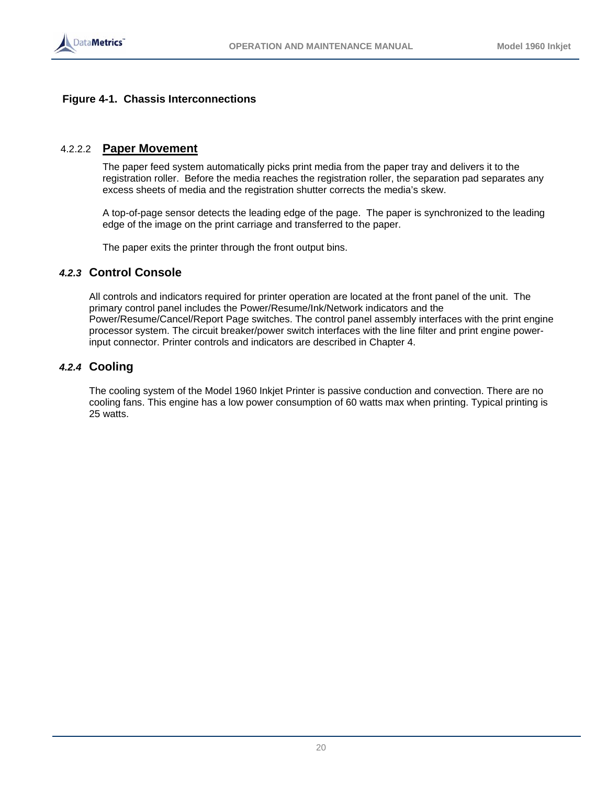

#### **Figure 4-1. Chassis Interconnections**

#### 4.2.2.2 **Paper Movement**

The paper feed system automatically picks print media from the paper tray and delivers it to the registration roller. Before the media reaches the registration roller, the separation pad separates any excess sheets of media and the registration shutter corrects the media's skew.

A top-of-page sensor detects the leading edge of the page. The paper is synchronized to the leading edge of the image on the print carriage and transferred to the paper.

The paper exits the printer through the front output bins.

#### *4.2.3* **Control Console**

All controls and indicators required for printer operation are located at the front panel of the unit. The primary control panel includes the Power/Resume/Ink/Network indicators and the Power/Resume/Cancel/Report Page switches. The control panel assembly interfaces with the print engine processor system. The circuit breaker/power switch interfaces with the line filter and print engine powerinput connector. Printer controls and indicators are described in Chapter 4.

# *4.2.4* **Cooling**

The cooling system of the Model 1960 Inkjet Printer is passive conduction and convection. There are no cooling fans. This engine has a low power consumption of 60 watts max when printing. Typical printing is 25 watts.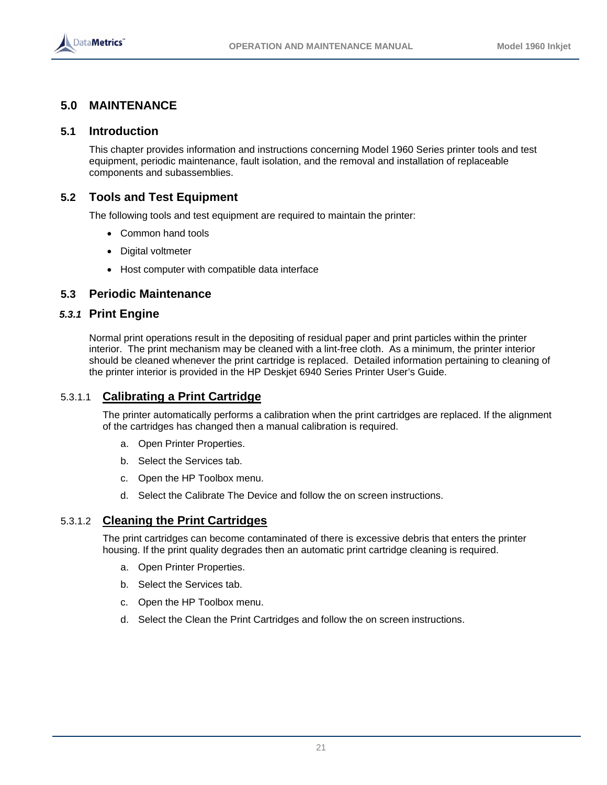

# **5.0 MAINTENANCE**

#### **5.1 Introduction**

This chapter provides information and instructions concerning Model 1960 Series printer tools and test equipment, periodic maintenance, fault isolation, and the removal and installation of replaceable components and subassemblies.

# **5.2 Tools and Test Equipment**

The following tools and test equipment are required to maintain the printer:

- Common hand tools
- Digital voltmeter
- Host computer with compatible data interface

# **5.3 Periodic Maintenance**

#### *5.3.1* **Print Engine**

Normal print operations result in the depositing of residual paper and print particles within the printer interior. The print mechanism may be cleaned with a lint-free cloth. As a minimum, the printer interior should be cleaned whenever the print cartridge is replaced. Detailed information pertaining to cleaning of the printer interior is provided in the HP Deskjet 6940 Series Printer User's Guide.

# 5.3.1.1 **Calibrating a Print Cartridge**

The printer automatically performs a calibration when the print cartridges are replaced. If the alignment of the cartridges has changed then a manual calibration is required.

- a. Open Printer Properties.
- b. Select the Services tab.
- c. Open the HP Toolbox menu.
- d. Select the Calibrate The Device and follow the on screen instructions.

#### 5.3.1.2 **Cleaning the Print Cartridges**

The print cartridges can become contaminated of there is excessive debris that enters the printer housing. If the print quality degrades then an automatic print cartridge cleaning is required.

- a. Open Printer Properties.
- b. Select the Services tab.
- c. Open the HP Toolbox menu.
- d. Select the Clean the Print Cartridges and follow the on screen instructions.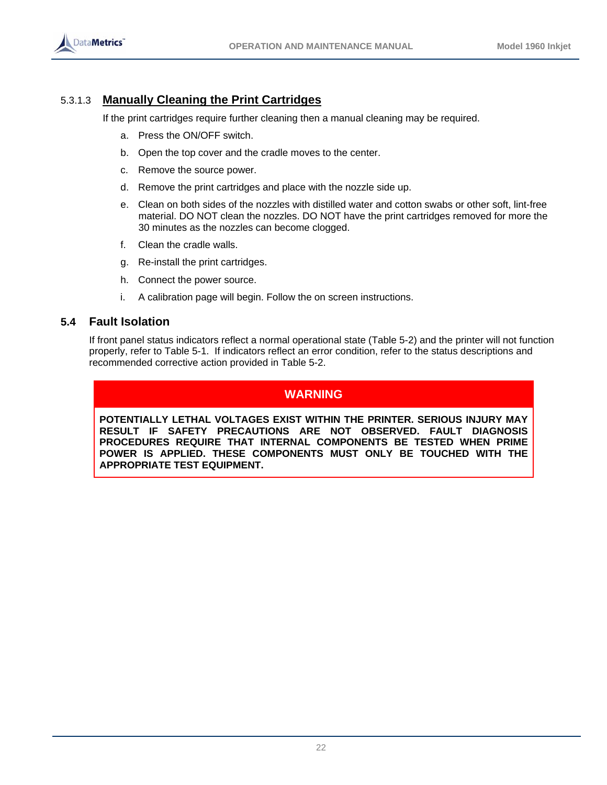

# 5.3.1.3 **Manually Cleaning the Print Cartridges**

If the print cartridges require further cleaning then a manual cleaning may be required.

- a. Press the ON/OFF switch.
- b. Open the top cover and the cradle moves to the center.
- c. Remove the source power.
- d. Remove the print cartridges and place with the nozzle side up.
- e. Clean on both sides of the nozzles with distilled water and cotton swabs or other soft, lint-free material. DO NOT clean the nozzles. DO NOT have the print cartridges removed for more the 30 minutes as the nozzles can become clogged.
- f. Clean the cradle walls.
- g. Re-install the print cartridges.
- h. Connect the power source.
- i. A calibration page will begin. Follow the on screen instructions.

# **5.4 Fault Isolation**

If front panel status indicators reflect a normal operational state (Table 5-2) and the printer will not function properly, refer to Table 5-1. If indicators reflect an error condition, refer to the status descriptions and recommended corrective action provided in Table 5-2.

# **WARNING**

**POTENTIALLY LETHAL VOLTAGES EXIST WITHIN THE PRINTER. SERIOUS INJURY MAY RESULT IF SAFETY PRECAUTIONS ARE NOT OBSERVED. FAULT DIAGNOSIS PROCEDURES REQUIRE THAT INTERNAL COMPONENTS BE TESTED WHEN PRIME POWER IS APPLIED. THESE COMPONENTS MUST ONLY BE TOUCHED WITH THE APPROPRIATE TEST EQUIPMENT.**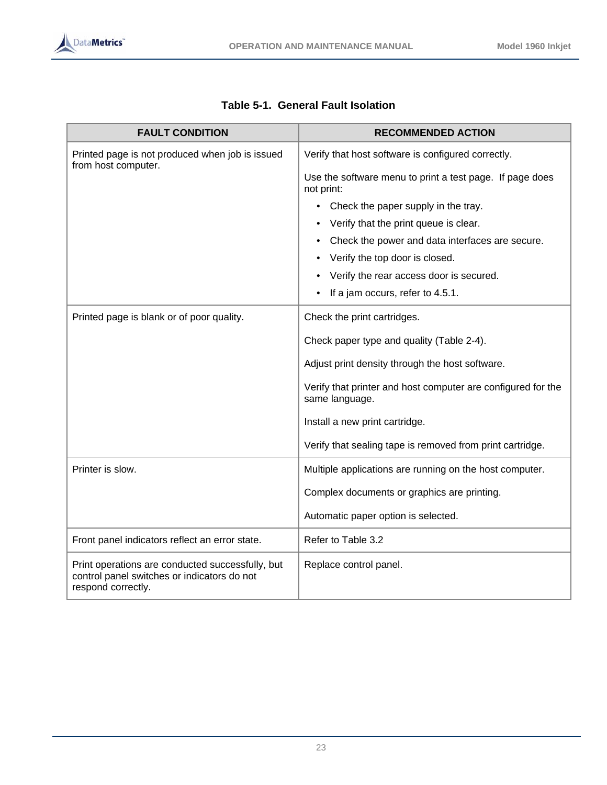| <b>FAULT CONDITION</b>                                                                                                | <b>RECOMMENDED ACTION</b>                                                      |
|-----------------------------------------------------------------------------------------------------------------------|--------------------------------------------------------------------------------|
| Printed page is not produced when job is issued<br>from host computer.                                                | Verify that host software is configured correctly.                             |
|                                                                                                                       | Use the software menu to print a test page. If page does<br>not print:         |
|                                                                                                                       | Check the paper supply in the tray.<br>$\bullet$                               |
|                                                                                                                       | Verify that the print queue is clear.                                          |
|                                                                                                                       | Check the power and data interfaces are secure.<br>٠                           |
|                                                                                                                       | Verify the top door is closed.                                                 |
|                                                                                                                       | Verify the rear access door is secured.                                        |
|                                                                                                                       | If a jam occurs, refer to 4.5.1.<br>$\bullet$                                  |
| Printed page is blank or of poor quality.                                                                             | Check the print cartridges.                                                    |
|                                                                                                                       | Check paper type and quality (Table 2-4).                                      |
|                                                                                                                       | Adjust print density through the host software.                                |
|                                                                                                                       | Verify that printer and host computer are configured for the<br>same language. |
|                                                                                                                       | Install a new print cartridge.                                                 |
|                                                                                                                       | Verify that sealing tape is removed from print cartridge.                      |
| Printer is slow.                                                                                                      | Multiple applications are running on the host computer.                        |
|                                                                                                                       | Complex documents or graphics are printing.                                    |
|                                                                                                                       | Automatic paper option is selected.                                            |
| Front panel indicators reflect an error state.                                                                        | Refer to Table 3.2                                                             |
| Print operations are conducted successfully, but<br>control panel switches or indicators do not<br>respond correctly. | Replace control panel.                                                         |

# **Table 5-1. General Fault Isolation**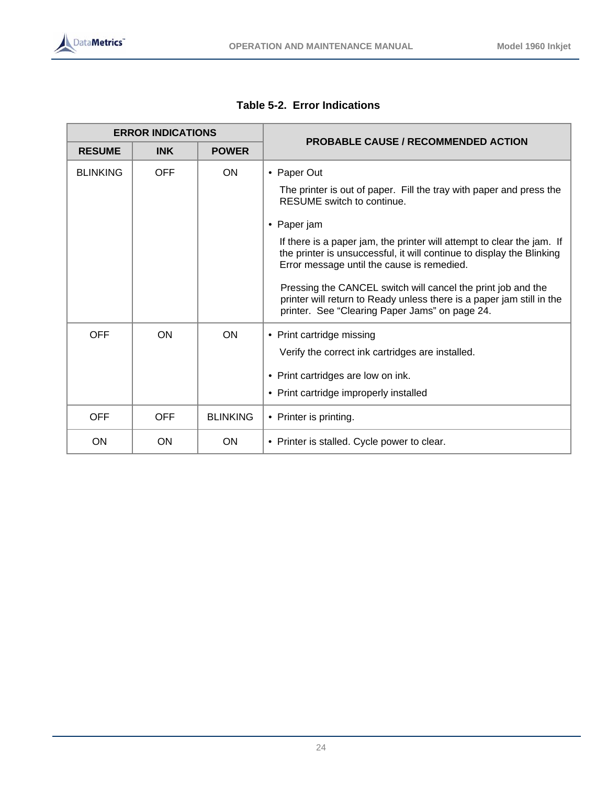| <b>ERROR INDICATIONS</b> |            |                 | <b>PROBABLE CAUSE / RECOMMENDED ACTION</b>                                                                                                                                                                                                                                                                                                                                                                                                                                                                                  |
|--------------------------|------------|-----------------|-----------------------------------------------------------------------------------------------------------------------------------------------------------------------------------------------------------------------------------------------------------------------------------------------------------------------------------------------------------------------------------------------------------------------------------------------------------------------------------------------------------------------------|
| <b>RESUME</b>            | <b>INK</b> | <b>POWER</b>    |                                                                                                                                                                                                                                                                                                                                                                                                                                                                                                                             |
| <b>BLINKING</b>          | <b>OFF</b> | <b>ON</b>       | • Paper Out<br>The printer is out of paper. Fill the tray with paper and press the<br>RESUME switch to continue.<br>• Paper jam<br>If there is a paper jam, the printer will attempt to clear the jam. If<br>the printer is unsuccessful, it will continue to display the Blinking<br>Error message until the cause is remedied.<br>Pressing the CANCEL switch will cancel the print job and the<br>printer will return to Ready unless there is a paper jam still in the<br>printer. See "Clearing Paper Jams" on page 24. |
| <b>OFF</b>               | ON         | <b>ON</b>       | • Print cartridge missing<br>Verify the correct ink cartridges are installed.<br>• Print cartridges are low on ink.<br>• Print cartridge improperly installed                                                                                                                                                                                                                                                                                                                                                               |
| <b>OFF</b>               | <b>OFF</b> | <b>BLINKING</b> | • Printer is printing.                                                                                                                                                                                                                                                                                                                                                                                                                                                                                                      |
| ON                       | ON         | <b>ON</b>       | • Printer is stalled. Cycle power to clear.                                                                                                                                                                                                                                                                                                                                                                                                                                                                                 |

**Table 5-2. Error Indications**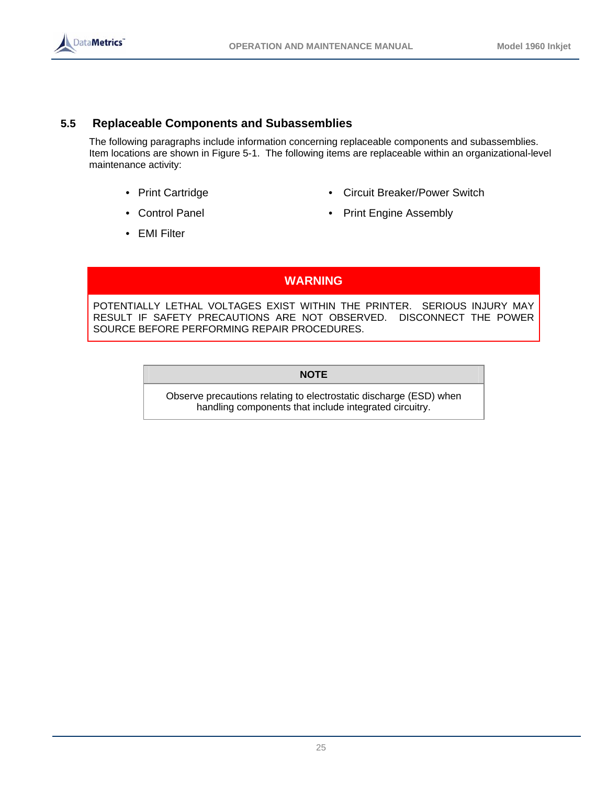

# **5.5 Replaceable Components and Subassemblies**

The following paragraphs include information concerning replaceable components and subassemblies. Item locations are shown in Figure 5-1. The following items are replaceable within an organizational-level maintenance activity:

- 
- 
- Print Cartridge  **Circuit Breaker/Power Switch**
- Control Panel Print Engine Assembly
- EMI Filter

**WARNING** 

POTENTIALLY LETHAL VOLTAGES EXIST WITHIN THE PRINTER. SERIOUS INJURY MAY RESULT IF SAFETY PRECAUTIONS ARE NOT OBSERVED. DISCONNECT THE POWER SOURCE BEFORE PERFORMING REPAIR PROCEDURES.

**NOTE** 

Observe precautions relating to electrostatic discharge (ESD) when handling components that include integrated circuitry.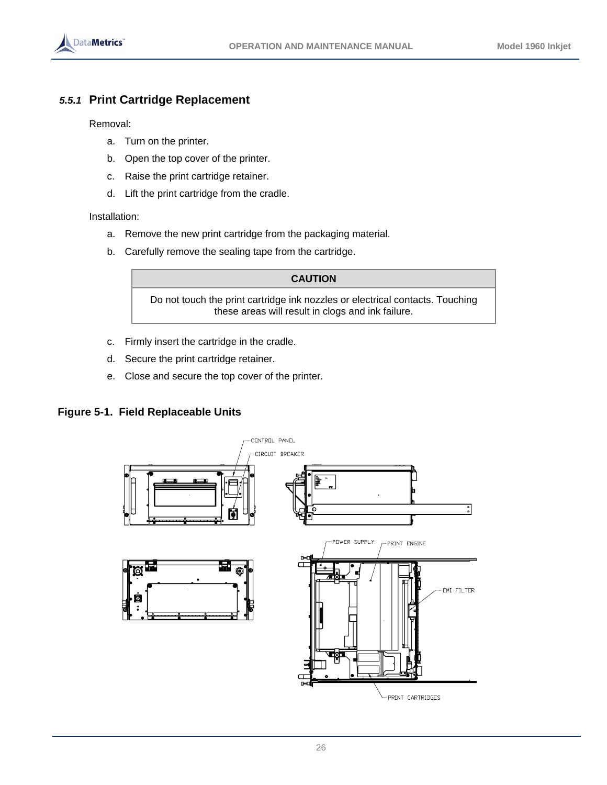

# *5.5.1* **Print Cartridge Replacement**

Removal:

- a. Turn on the printer.
- b. Open the top cover of the printer.
- c. Raise the print cartridge retainer.
- d. Lift the print cartridge from the cradle.

Installation:

- a. Remove the new print cartridge from the packaging material.
- b. Carefully remove the sealing tape from the cartridge.

# **CAUTION**

Do not touch the print cartridge ink nozzles or electrical contacts. Touching these areas will result in clogs and ink failure.

- c. Firmly insert the cartridge in the cradle.
- d. Secure the print cartridge retainer.
- e. Close and secure the top cover of the printer.

# **Figure 5-1. Field Replaceable Units**

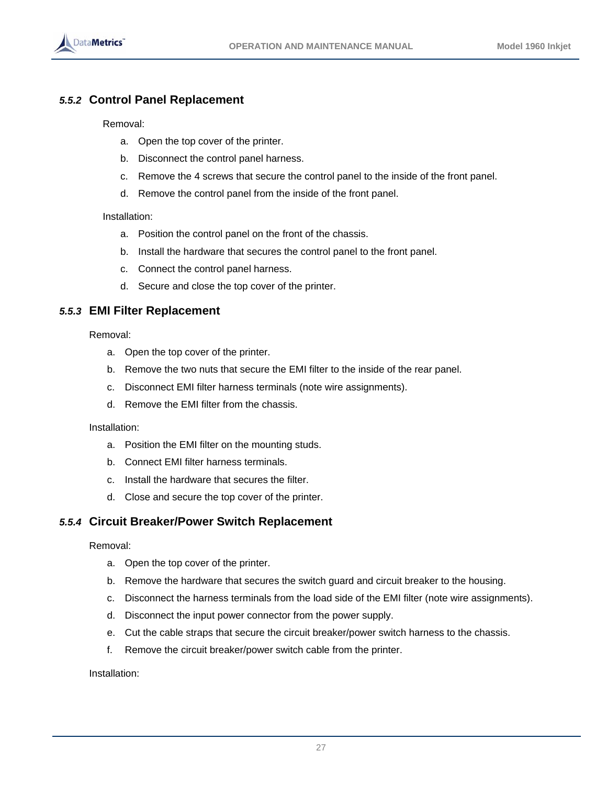

# *5.5.2* **Control Panel Replacement**

Removal:

- a. Open the top cover of the printer.
- b. Disconnect the control panel harness.
- c. Remove the 4 screws that secure the control panel to the inside of the front panel.
- d. Remove the control panel from the inside of the front panel.

#### Installation:

- a. Position the control panel on the front of the chassis.
- b. Install the hardware that secures the control panel to the front panel.
- c. Connect the control panel harness.
- d. Secure and close the top cover of the printer.

# *5.5.3* **EMI Filter Replacement**

Removal:

- a. Open the top cover of the printer.
- b. Remove the two nuts that secure the EMI filter to the inside of the rear panel.
- c. Disconnect EMI filter harness terminals (note wire assignments).
- d. Remove the EMI filter from the chassis.

#### Installation:

- a. Position the EMI filter on the mounting studs.
- b. Connect EMI filter harness terminals.
- c. Install the hardware that secures the filter.
- d. Close and secure the top cover of the printer.

# *5.5.4* **Circuit Breaker/Power Switch Replacement**

#### Removal:

- a. Open the top cover of the printer.
- b. Remove the hardware that secures the switch guard and circuit breaker to the housing.
- c. Disconnect the harness terminals from the load side of the EMI filter (note wire assignments).
- d. Disconnect the input power connector from the power supply.
- e. Cut the cable straps that secure the circuit breaker/power switch harness to the chassis.
- f. Remove the circuit breaker/power switch cable from the printer.

Installation: